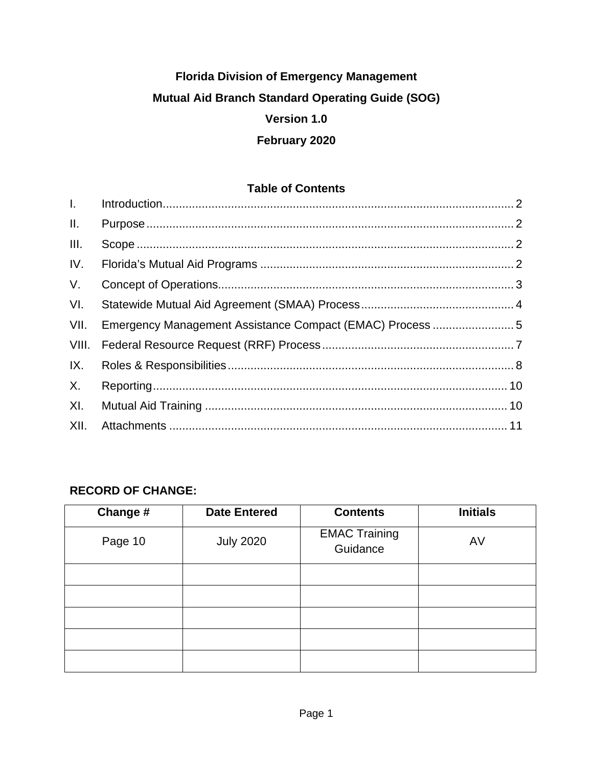# **Florida Division of Emergency Management Mutual Aid Branch Standard Operating Guide (SOG) Version 1.0 February 2020**

#### **Table of Contents**

| $L =$           |                                                          |  |
|-----------------|----------------------------------------------------------|--|
| $\mathbf{II}$ . |                                                          |  |
| III.            |                                                          |  |
| IV.             |                                                          |  |
| V.              |                                                          |  |
| VI.             |                                                          |  |
| VII.            | Emergency Management Assistance Compact (EMAC) Process 5 |  |
| VIII.           |                                                          |  |
| IX.             |                                                          |  |
| X.              |                                                          |  |
| XI.             |                                                          |  |
| XII.            |                                                          |  |

## **RECORD OF CHANGE:**

| Change # | <b>Date Entered</b> | <b>Contents</b>                  | <b>Initials</b> |
|----------|---------------------|----------------------------------|-----------------|
| Page 10  | <b>July 2020</b>    | <b>EMAC Training</b><br>Guidance | AV              |
|          |                     |                                  |                 |
|          |                     |                                  |                 |
|          |                     |                                  |                 |
|          |                     |                                  |                 |
|          |                     |                                  |                 |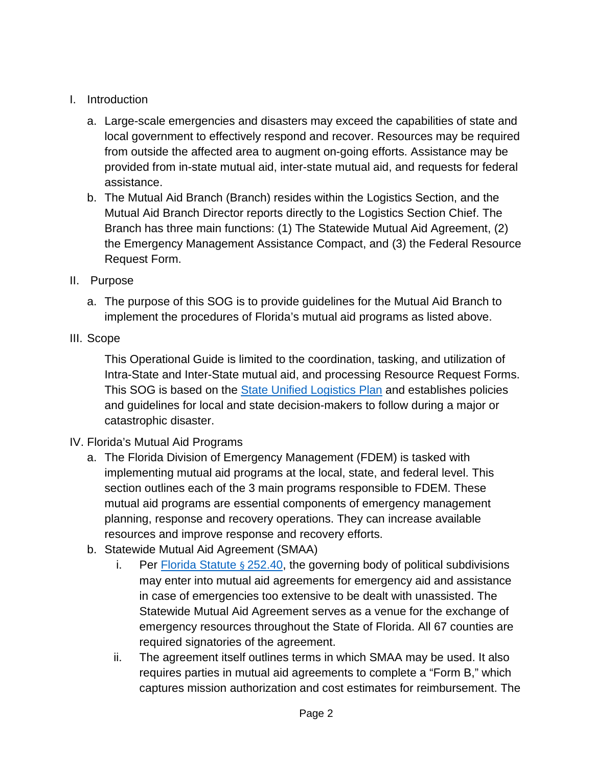## <span id="page-1-0"></span>I. Introduction

- a. Large-scale emergencies and disasters may exceed the capabilities of state and local government to effectively respond and recover. Resources may be required from outside the affected area to augment on-going efforts. Assistance may be provided from in-state mutual aid, inter-state mutual aid, and requests for federal assistance.
- b. The Mutual Aid Branch (Branch) resides within the Logistics Section, and the Mutual Aid Branch Director reports directly to the Logistics Section Chief. The Branch has three main functions: (1) The Statewide Mutual Aid Agreement, (2) the Emergency Management Assistance Compact, and (3) the Federal Resource Request Form.
- <span id="page-1-1"></span>II. Purpose
	- a. The purpose of this SOG is to provide guidelines for the Mutual Aid Branch to implement the procedures of Florida's mutual aid programs as listed above.
- <span id="page-1-2"></span>III. Scope

This Operational Guide is limited to the coordination, tasking, and utilization of Intra-State and Inter-State mutual aid, and processing Resource Request Forms. This SOG is based on the [State Unified Logistics Plan](https://floridadisaster.org/globalassets/dem/response/logistics/florida-unified-logistics-plan-sop-approved-ver-1.0.pdf) and establishes policies and guidelines for local and state decision-makers to follow during a major or catastrophic disaster.

## <span id="page-1-3"></span>IV. Florida's Mutual Aid Programs

- a. The Florida Division of Emergency Management (FDEM) is tasked with implementing mutual aid programs at the local, state, and federal level. This section outlines each of the 3 main programs responsible to FDEM. These mutual aid programs are essential components of emergency management planning, response and recovery operations. They can increase available resources and improve response and recovery efforts.
- b. Statewide Mutual Aid Agreement (SMAA)
	- i. Per [Florida Statute](http://www.leg.state.fl.us/statutes/index.cfm?App_mode=Display_Statute&Search_String=&URL=0200-0299/0252/Sections/0252.40.html) § 252.40, the governing body of political subdivisions may enter into mutual aid agreements for emergency aid and assistance in case of emergencies too extensive to be dealt with unassisted. The Statewide Mutual Aid Agreement serves as a venue for the exchange of emergency resources throughout the State of Florida. All 67 counties are required signatories of the agreement.
	- ii. The agreement itself outlines terms in which SMAA may be used. It also requires parties in mutual aid agreements to complete a "Form B," which captures mission authorization and cost estimates for reimbursement. The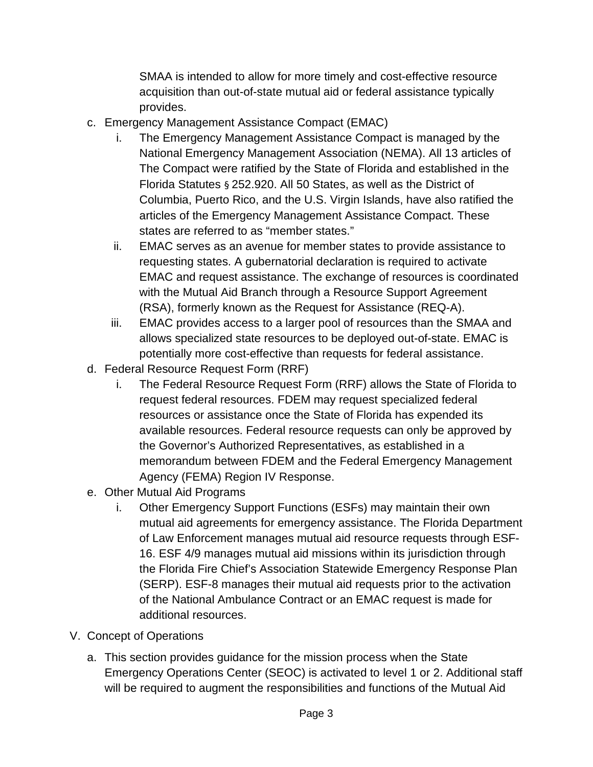SMAA is intended to allow for more timely and cost-effective resource acquisition than out-of-state mutual aid or federal assistance typically provides.

- c. Emergency Management Assistance Compact (EMAC)
	- i. The Emergency Management Assistance Compact is managed by the National Emergency Management Association (NEMA). All 13 articles of The Compact were ratified by the State of Florida and established in the Florida Statutes § 252.920. All 50 States, as well as the District of Columbia, Puerto Rico, and the U.S. Virgin Islands, have also ratified the articles of the Emergency Management Assistance Compact. These states are referred to as "member states."
	- ii. EMAC serves as an avenue for member states to provide assistance to requesting states. A gubernatorial declaration is required to activate EMAC and request assistance. The exchange of resources is coordinated with the Mutual Aid Branch through a Resource Support Agreement (RSA), formerly known as the Request for Assistance (REQ-A).
	- iii. EMAC provides access to a larger pool of resources than the SMAA and allows specialized state resources to be deployed out-of-state. EMAC is potentially more cost-effective than requests for federal assistance.
- d. Federal Resource Request Form (RRF)
	- i. The Federal Resource Request Form (RRF) allows the State of Florida to request federal resources. FDEM may request specialized federal resources or assistance once the State of Florida has expended its available resources. Federal resource requests can only be approved by the Governor's Authorized Representatives, as established in a memorandum between FDEM and the Federal Emergency Management Agency (FEMA) Region IV Response.
- e. Other Mutual Aid Programs
	- i. Other Emergency Support Functions (ESFs) may maintain their own mutual aid agreements for emergency assistance. The Florida Department of Law Enforcement manages mutual aid resource requests through ESF-16. ESF 4/9 manages mutual aid missions within its jurisdiction through the Florida Fire Chief's Association Statewide Emergency Response Plan (SERP). ESF-8 manages their mutual aid requests prior to the activation of the National Ambulance Contract or an EMAC request is made for additional resources.
- <span id="page-2-0"></span>V. Concept of Operations
	- a. This section provides guidance for the mission process when the State Emergency Operations Center (SEOC) is activated to level 1 or 2. Additional staff will be required to augment the responsibilities and functions of the Mutual Aid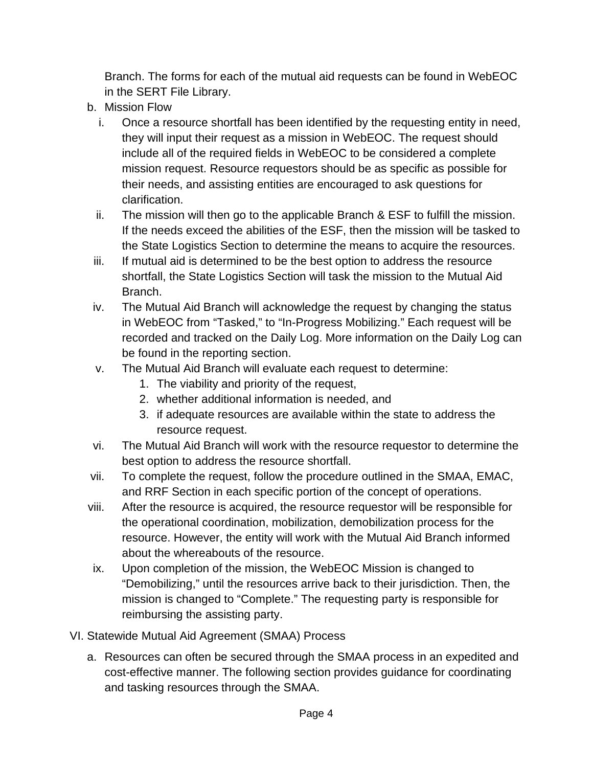Branch. The forms for each of the mutual aid requests can be found in WebEOC in the SERT File Library.

- b. Mission Flow
	- i. Once a resource shortfall has been identified by the requesting entity in need, they will input their request as a mission in WebEOC. The request should include all of the required fields in WebEOC to be considered a complete mission request. Resource requestors should be as specific as possible for their needs, and assisting entities are encouraged to ask questions for clarification.
	- ii. The mission will then go to the applicable Branch & ESF to fulfill the mission. If the needs exceed the abilities of the ESF, then the mission will be tasked to the State Logistics Section to determine the means to acquire the resources.
	- iii. If mutual aid is determined to be the best option to address the resource shortfall, the State Logistics Section will task the mission to the Mutual Aid Branch.
	- iv. The Mutual Aid Branch will acknowledge the request by changing the status in WebEOC from "Tasked," to "In-Progress Mobilizing." Each request will be recorded and tracked on the Daily Log. More information on the Daily Log can be found in the reporting section.
	- v. The Mutual Aid Branch will evaluate each request to determine:
		- 1. The viability and priority of the request,
		- 2. whether additional information is needed, and
		- 3. if adequate resources are available within the state to address the resource request.
- vi. The Mutual Aid Branch will work with the resource requestor to determine the best option to address the resource shortfall.
- vii. To complete the request, follow the procedure outlined in the SMAA, EMAC, and RRF Section in each specific portion of the concept of operations.
- viii. After the resource is acquired, the resource requestor will be responsible for the operational coordination, mobilization, demobilization process for the resource. However, the entity will work with the Mutual Aid Branch informed about the whereabouts of the resource.
- ix. Upon completion of the mission, the WebEOC Mission is changed to "Demobilizing," until the resources arrive back to their jurisdiction. Then, the mission is changed to "Complete." The requesting party is responsible for reimbursing the assisting party.
- <span id="page-3-0"></span>VI. Statewide Mutual Aid Agreement (SMAA) Process
	- a. Resources can often be secured through the SMAA process in an expedited and cost-effective manner. The following section provides guidance for coordinating and tasking resources through the SMAA.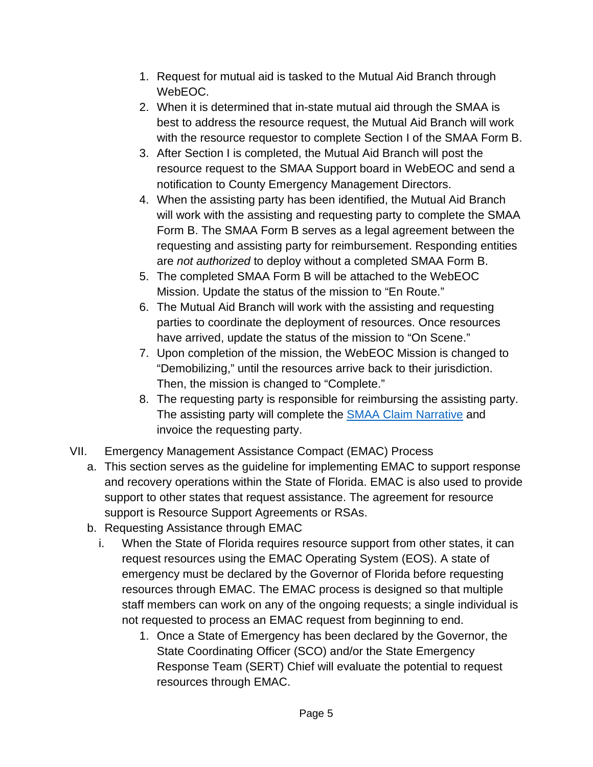- 1. Request for mutual aid is tasked to the Mutual Aid Branch through WebEOC.
- 2. When it is determined that in-state mutual aid through the SMAA is best to address the resource request, the Mutual Aid Branch will work with the resource requestor to complete Section I of the SMAA Form B.
- 3. After Section I is completed, the Mutual Aid Branch will post the resource request to the SMAA Support board in WebEOC and send a notification to County Emergency Management Directors.
- 4. When the assisting party has been identified, the Mutual Aid Branch will work with the assisting and requesting party to complete the SMAA Form B. The SMAA Form B serves as a legal agreement between the requesting and assisting party for reimbursement. Responding entities are *not authorized* to deploy without a completed SMAA Form B.
- 5. The completed SMAA Form B will be attached to the WebEOC Mission. Update the status of the mission to "En Route."
- 6. The Mutual Aid Branch will work with the assisting and requesting parties to coordinate the deployment of resources. Once resources have arrived, update the status of the mission to "On Scene."
- 7. Upon completion of the mission, the WebEOC Mission is changed to "Demobilizing," until the resources arrive back to their jurisdiction. Then, the mission is changed to "Complete."
- 8. The requesting party is responsible for reimbursing the assisting party. The assisting party will complete the [SMAA Claim Narrative](https://floridadisaster.org/globalassets/dem/response/logistics/smaa/copy-of-smaa-claim-form.xls) and invoice the requesting party.
- <span id="page-4-0"></span>VII. Emergency Management Assistance Compact (EMAC) Process
	- a. This section serves as the guideline for implementing EMAC to support response and recovery operations within the State of Florida. EMAC is also used to provide support to other states that request assistance. The agreement for resource support is Resource Support Agreements or RSAs.
	- b. Requesting Assistance through EMAC
		- i. When the State of Florida requires resource support from other states, it can request resources using the EMAC Operating System (EOS). A state of emergency must be declared by the Governor of Florida before requesting resources through EMAC. The EMAC process is designed so that multiple staff members can work on any of the ongoing requests; a single individual is not requested to process an EMAC request from beginning to end.
			- 1. Once a State of Emergency has been declared by the Governor, the State Coordinating Officer (SCO) and/or the State Emergency Response Team (SERT) Chief will evaluate the potential to request resources through EMAC.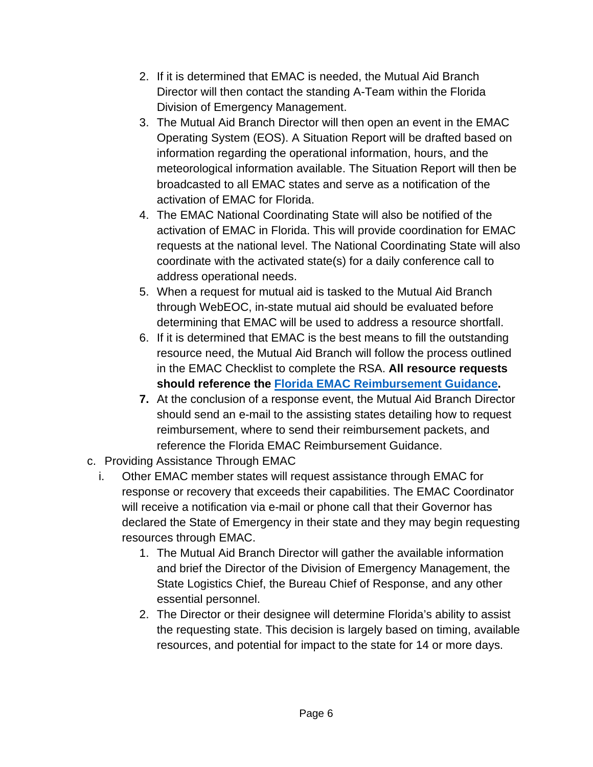- 2. If it is determined that EMAC is needed, the Mutual Aid Branch Director will then contact the standing A-Team within the Florida Division of Emergency Management.
- 3. The Mutual Aid Branch Director will then open an event in the EMAC Operating System (EOS). A Situation Report will be drafted based on information regarding the operational information, hours, and the meteorological information available. The Situation Report will then be broadcasted to all EMAC states and serve as a notification of the activation of EMAC for Florida.
- 4. The EMAC National Coordinating State will also be notified of the activation of EMAC in Florida. This will provide coordination for EMAC requests at the national level. The National Coordinating State will also coordinate with the activated state(s) for a daily conference call to address operational needs.
- 5. When a request for mutual aid is tasked to the Mutual Aid Branch through WebEOC, in-state mutual aid should be evaluated before determining that EMAC will be used to address a resource shortfall.
- 6. If it is determined that EMAC is the best means to fill the outstanding resource need, the Mutual Aid Branch will follow the process outlined in the EMAC Checklist to complete the RSA. **All resource requests should reference the [Florida EMAC Reimbursement Guidance.](https://floridadisaster.org/globalassets/dem/response/logistics/emac/emac-reimbursement-memo-final.pdf)**
- **7.** At the conclusion of a response event, the Mutual Aid Branch Director should send an e-mail to the assisting states detailing how to request reimbursement, where to send their reimbursement packets, and reference the Florida EMAC Reimbursement Guidance.
- c. Providing Assistance Through EMAC
	- i. Other EMAC member states will request assistance through EMAC for response or recovery that exceeds their capabilities. The EMAC Coordinator will receive a notification via e-mail or phone call that their Governor has declared the State of Emergency in their state and they may begin requesting resources through EMAC.
		- 1. The Mutual Aid Branch Director will gather the available information and brief the Director of the Division of Emergency Management, the State Logistics Chief, the Bureau Chief of Response, and any other essential personnel.
		- 2. The Director or their designee will determine Florida's ability to assist the requesting state. This decision is largely based on timing, available resources, and potential for impact to the state for 14 or more days.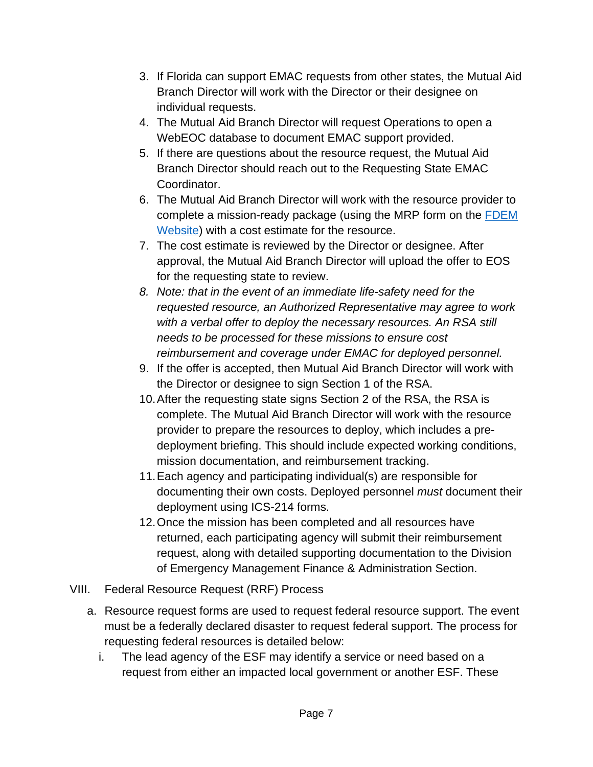- 3. If Florida can support EMAC requests from other states, the Mutual Aid Branch Director will work with the Director or their designee on individual requests.
- 4. The Mutual Aid Branch Director will request Operations to open a WebEOC database to document EMAC support provided.
- 5. If there are questions about the resource request, the Mutual Aid Branch Director should reach out to the Requesting State EMAC Coordinator.
- 6. The Mutual Aid Branch Director will work with the resource provider to complete a mission-ready package (using the MRP form on the [FDEM](https://floridadisaster.org/globalassets/dem/response/logistics/emac/copy-of-25-personnel---emac-mrp-with-cost-estimate-template.xlsx)  [Website\)](https://floridadisaster.org/globalassets/dem/response/logistics/emac/copy-of-25-personnel---emac-mrp-with-cost-estimate-template.xlsx) with a cost estimate for the resource.
- 7. The cost estimate is reviewed by the Director or designee. After approval, the Mutual Aid Branch Director will upload the offer to EOS for the requesting state to review.
- *8. Note: that in the event of an immediate life-safety need for the requested resource, an Authorized Representative may agree to work with a verbal offer to deploy the necessary resources. An RSA still needs to be processed for these missions to ensure cost reimbursement and coverage under EMAC for deployed personnel.*
- 9. If the offer is accepted, then Mutual Aid Branch Director will work with the Director or designee to sign Section 1 of the RSA.
- 10.After the requesting state signs Section 2 of the RSA, the RSA is complete. The Mutual Aid Branch Director will work with the resource provider to prepare the resources to deploy, which includes a predeployment briefing. This should include expected working conditions, mission documentation, and reimbursement tracking.
- 11.Each agency and participating individual(s) are responsible for documenting their own costs. Deployed personnel *must* document their deployment using ICS-214 forms.
- 12.Once the mission has been completed and all resources have returned, each participating agency will submit their reimbursement request, along with detailed supporting documentation to the Division of Emergency Management Finance & Administration Section.
- <span id="page-6-0"></span>VIII. Federal Resource Request (RRF) Process
	- a. Resource request forms are used to request federal resource support. The event must be a federally declared disaster to request federal support. The process for requesting federal resources is detailed below:
		- i. The lead agency of the ESF may identify a service or need based on a request from either an impacted local government or another ESF. These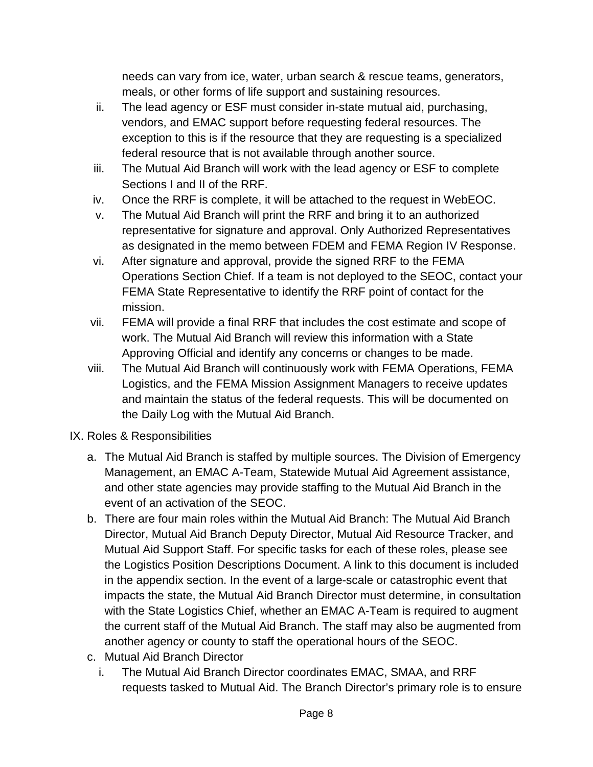needs can vary from ice, water, urban search & rescue teams, generators, meals, or other forms of life support and sustaining resources.

- ii. The lead agency or ESF must consider in-state mutual aid, purchasing, vendors, and EMAC support before requesting federal resources. The exception to this is if the resource that they are requesting is a specialized federal resource that is not available through another source.
- iii. The Mutual Aid Branch will work with the lead agency or ESF to complete Sections I and II of the RRF.
- iv. Once the RRF is complete, it will be attached to the request in WebEOC.
- v. The Mutual Aid Branch will print the RRF and bring it to an authorized representative for signature and approval. Only Authorized Representatives as designated in the memo between FDEM and FEMA Region IV Response.
- vi. After signature and approval, provide the signed RRF to the FEMA Operations Section Chief. If a team is not deployed to the SEOC, contact your FEMA State Representative to identify the RRF point of contact for the mission.
- vii. FEMA will provide a final RRF that includes the cost estimate and scope of work. The Mutual Aid Branch will review this information with a State Approving Official and identify any concerns or changes to be made.
- viii. The Mutual Aid Branch will continuously work with FEMA Operations, FEMA Logistics, and the FEMA Mission Assignment Managers to receive updates and maintain the status of the federal requests. This will be documented on the Daily Log with the Mutual Aid Branch.
- <span id="page-7-0"></span>IX. Roles & Responsibilities
	- a. The Mutual Aid Branch is staffed by multiple sources. The Division of Emergency Management, an EMAC A-Team, Statewide Mutual Aid Agreement assistance, and other state agencies may provide staffing to the Mutual Aid Branch in the event of an activation of the SEOC.
	- b. There are four main roles within the Mutual Aid Branch: The Mutual Aid Branch Director, Mutual Aid Branch Deputy Director, Mutual Aid Resource Tracker, and Mutual Aid Support Staff. For specific tasks for each of these roles, please see the Logistics Position Descriptions Document. A link to this document is included in the appendix section. In the event of a large-scale or catastrophic event that impacts the state, the Mutual Aid Branch Director must determine, in consultation with the State Logistics Chief, whether an EMAC A-Team is required to augment the current staff of the Mutual Aid Branch. The staff may also be augmented from another agency or county to staff the operational hours of the SEOC.
	- c. Mutual Aid Branch Director
		- i. The Mutual Aid Branch Director coordinates EMAC, SMAA, and RRF requests tasked to Mutual Aid. The Branch Director's primary role is to ensure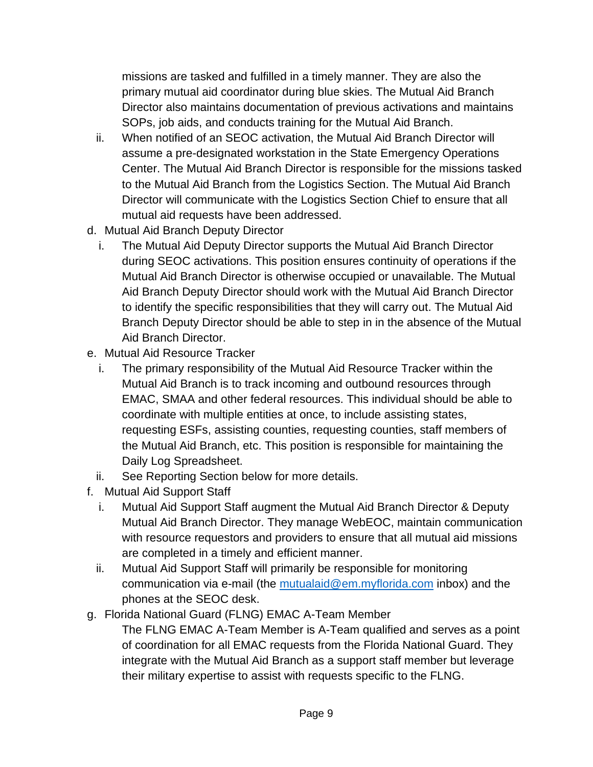missions are tasked and fulfilled in a timely manner. They are also the primary mutual aid coordinator during blue skies. The Mutual Aid Branch Director also maintains documentation of previous activations and maintains SOPs, job aids, and conducts training for the Mutual Aid Branch.

- ii. When notified of an SEOC activation, the Mutual Aid Branch Director will assume a pre-designated workstation in the State Emergency Operations Center. The Mutual Aid Branch Director is responsible for the missions tasked to the Mutual Aid Branch from the Logistics Section. The Mutual Aid Branch Director will communicate with the Logistics Section Chief to ensure that all mutual aid requests have been addressed.
- d. Mutual Aid Branch Deputy Director
	- i. The Mutual Aid Deputy Director supports the Mutual Aid Branch Director during SEOC activations. This position ensures continuity of operations if the Mutual Aid Branch Director is otherwise occupied or unavailable. The Mutual Aid Branch Deputy Director should work with the Mutual Aid Branch Director to identify the specific responsibilities that they will carry out. The Mutual Aid Branch Deputy Director should be able to step in in the absence of the Mutual Aid Branch Director.
- e. Mutual Aid Resource Tracker
	- i. The primary responsibility of the Mutual Aid Resource Tracker within the Mutual Aid Branch is to track incoming and outbound resources through EMAC, SMAA and other federal resources. This individual should be able to coordinate with multiple entities at once, to include assisting states, requesting ESFs, assisting counties, requesting counties, staff members of the Mutual Aid Branch, etc. This position is responsible for maintaining the Daily Log Spreadsheet.
	- ii. See Reporting Section below for more details.
- f. Mutual Aid Support Staff
	- i. Mutual Aid Support Staff augment the Mutual Aid Branch Director & Deputy Mutual Aid Branch Director. They manage WebEOC, maintain communication with resource requestors and providers to ensure that all mutual aid missions are completed in a timely and efficient manner.
	- ii. Mutual Aid Support Staff will primarily be responsible for monitoring communication via e-mail (the [mutualaid@em.myflorida.com](mailto:mutualaid@em.myflorida.com) inbox) and the phones at the SEOC desk.
- g. Florida National Guard (FLNG) EMAC A-Team Member
	- The FLNG EMAC A-Team Member is A-Team qualified and serves as a point of coordination for all EMAC requests from the Florida National Guard. They integrate with the Mutual Aid Branch as a support staff member but leverage their military expertise to assist with requests specific to the FLNG.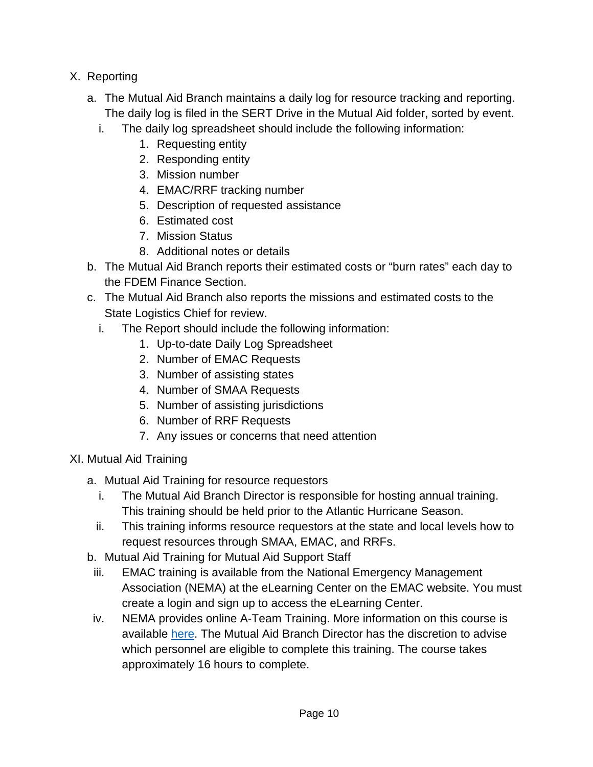- <span id="page-9-0"></span>X. Reporting
	- a. The Mutual Aid Branch maintains a daily log for resource tracking and reporting. The daily log is filed in the SERT Drive in the Mutual Aid folder, sorted by event.
		- i. The daily log spreadsheet should include the following information:
			- 1. Requesting entity
			- 2. Responding entity
			- 3. Mission number
			- 4. EMAC/RRF tracking number
			- 5. Description of requested assistance
			- 6. Estimated cost
			- 7. Mission Status
			- 8. Additional notes or details
	- b. The Mutual Aid Branch reports their estimated costs or "burn rates" each day to the FDEM Finance Section.
	- c. The Mutual Aid Branch also reports the missions and estimated costs to the State Logistics Chief for review.
		- i. The Report should include the following information:
			- 1. Up-to-date Daily Log Spreadsheet
			- 2. Number of EMAC Requests
			- 3. Number of assisting states
			- 4. Number of SMAA Requests
			- 5. Number of assisting jurisdictions
			- 6. Number of RRF Requests
			- 7. Any issues or concerns that need attention
- <span id="page-9-1"></span>XI. Mutual Aid Training
	- a. Mutual Aid Training for resource requestors
		- i. The Mutual Aid Branch Director is responsible for hosting annual training. This training should be held prior to the Atlantic Hurricane Season.
		- ii. This training informs resource requestors at the state and local levels how to request resources through SMAA, EMAC, and RRFs.
	- b. Mutual Aid Training for Mutual Aid Support Staff
	- iii. EMAC training is available from the National Emergency Management Association (NEMA) at the eLearning Center on the [EMAC website.](https://www.emacweb.org/) You must create a login and sign up to access the eLearning Center.
	- iv. NEMA provides online A-Team Training. More information on this course is available [here.](https://www.emacweb.org/index.php/elearning-course-summaries/emac-a-team-training-course-summary) The Mutual Aid Branch Director has the discretion to advise which personnel are eligible to complete this training. The course takes approximately 16 hours to complete.